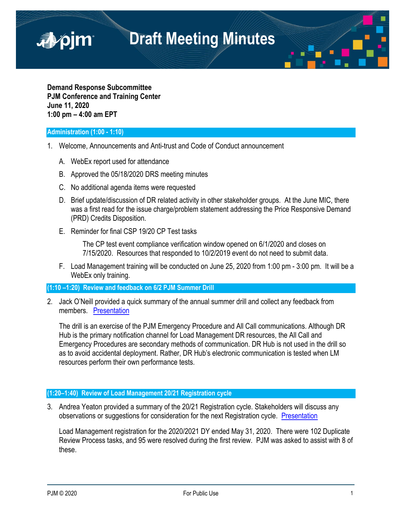

**Demand Response Subcommittee PJM Conference and Training Center June 11, 2020 1:00 pm – 4:00 am EPT**

## **Administration (1:00 - 1:10)**

- 1. Welcome, Announcements and Anti-trust and Code of Conduct announcement
	- A. WebEx report used for attendance
	- B. Approved the 05/18/2020 DRS meeting minutes
	- C. No additional agenda items were requested
	- D. Brief update/discussion of DR related activity in other stakeholder groups. At the June MIC, there was a first read for the issue charge/problem statement addressing the Price Responsive Demand (PRD) Credits Disposition.
	- E. Reminder for final CSP 19/20 CP Test tasks

The CP test event compliance verification window opened on 6/1/2020 and closes on 7/15/2020. Resources that responded to 10/2/2019 event do not need to submit data.

F. Load Management training will be conducted on June 25, 2020 from 1:00 pm - 3:00 pm. It will be a WebEx only training.

## **(1:10 –1:20) Review and feedback on 6/2 PJM Summer Drill**

2. Jack O'Neill provided a quick summary of the annual summer drill and collect any feedback from members. Presentation

The drill is an exercise of the PJM Emergency Procedure and All Call communications. Although DR Hub is the primary notification channel for Load Management DR resources, the All Call and Emergency Procedures are secondary methods of communication. DR Hub is not used in the drill so as to avoid accidental deployment. Rather, DR Hub's electronic communication is tested when LM resources perform their own performance tests.

## **(1:20–1:40) Review of Load Management 20/21 Registration cycle**

3. Andrea Yeaton provided a summary of the 20/21 Registration cycle. Stakeholders will discuss any observations or suggestions for consideration for the next Registration cycle. Presentation

Load Management registration for the 2020/2021 DY ended May 31, 2020. There were 102 Duplicate Review Process tasks, and 95 were resolved during the first review. PJM was asked to assist with 8 of these.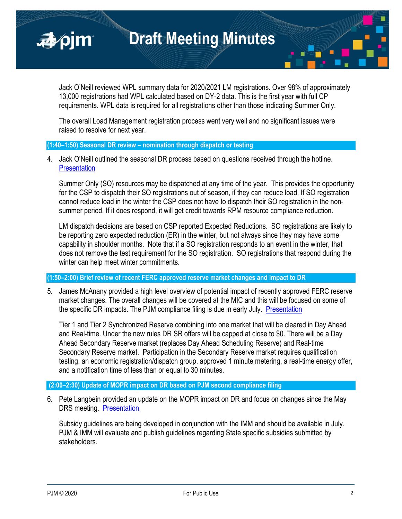**Draft Meeting Minutes**

Jack O'Neill reviewed WPL summary data for 2020/2021 LM registrations. Over 98% of approximately 13,000 registrations had WPL calculated based on DY-2 data. This is the first year with full CP requirements. WPL data is required for all registrations other than those indicating Summer Only.

The overall Load Management registration process went very well and no significant issues were raised to resolve for next year.

## **(1:40–1:50) Seasonal DR review – nomination through dispatch or testing**

4. Jack O'Neill outlined the seasonal DR process based on questions received through the hotline. **Presentation** 

Summer Only (SO) resources may be dispatched at any time of the year. This provides the opportunity for the CSP to dispatch their SO registrations out of season, if they can reduce load. If SO registration cannot reduce load in the winter the CSP does not have to dispatch their SO registration in the nonsummer period. If it does respond, it will get credit towards RPM resource compliance reduction.

LM dispatch decisions are based on CSP reported Expected Reductions. SO registrations are likely to be reporting zero expected reduction (ER) in the winter, but not always since they may have some capability in shoulder months. Note that if a SO registration responds to an event in the winter, that does not remove the test requirement for the SO registration. SO registrations that respond during the winter can help meet winter commitments.

# **(1:50–2:00) Brief review of recent FERC approved reserve market changes and impact to DR**

5. James McAnany provided a high level overview of potential impact of recently approved FERC reserve market changes. The overall changes will be covered at the MIC and this will be focused on some of the specific DR impacts. The PJM compliance filing is due in early July. Presentation

Tier 1 and Tier 2 Synchronized Reserve combining into one market that will be cleared in Day Ahead and Real-time. Under the new rules DR SR offers will be capped at close to \$0. There will be a Day Ahead Secondary Reserve market (replaces Day Ahead Scheduling Reserve) and Real-time Secondary Reserve market. Participation in the Secondary Reserve market requires qualification testing, an economic registration/dispatch group, approved 1 minute metering, a real-time energy offer, and a notification time of less than or equal to 30 minutes.

## **(2:00–2:30) Update of MOPR impact on DR based on PJM second compliance filing**

6. Pete Langbein provided an update on the MOPR impact on DR and focus on changes since the May DRS meeting. Presentation

Subsidy guidelines are being developed in conjunction with the IMM and should be available in July. PJM & IMM will evaluate and publish guidelines regarding State specific subsidies submitted by stakeholders.

■pjm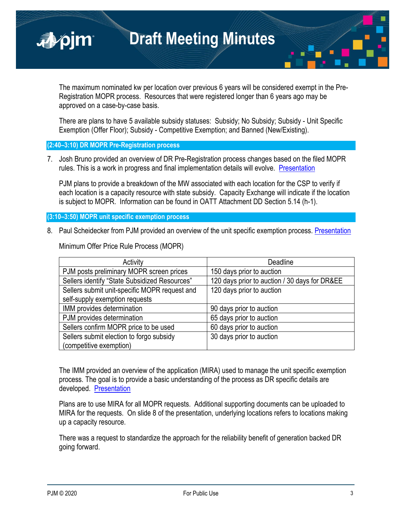

The maximum nominated kw per location over previous 6 years will be considered exempt in the Pre-Registration MOPR process. Resources that were registered longer than 6 years ago may be approved on a case-by-case basis.

There are plans to have 5 available subsidy statuses: Subsidy; No Subsidy; Subsidy - Unit Specific Exemption (Offer Floor); Subsidy - Competitive Exemption; and Banned (New/Existing).

**(2:40–3:10) DR MOPR Pre-Registration process**

7. Josh Bruno provided an overview of DR Pre-Registration process changes based on the filed MOPR rules. This is a work in progress and final implementation details will evolve. Presentation

PJM plans to provide a breakdown of the MW associated with each location for the CSP to verify if each location is a capacity resource with state subsidy. Capacity Exchange will indicate if the location is subject to MOPR. Information can be found in OATT Attachment DD Section 5.14 (h-1).

**(3:10–3:50) MOPR unit specific exemption process**

8. Paul Scheidecker from PJM provided an overview of the unit specific exemption process. Presentation

| Activity                                      | Deadline                                      |
|-----------------------------------------------|-----------------------------------------------|
| PJM posts preliminary MOPR screen prices      | 150 days prior to auction                     |
| Sellers identify "State Subsidized Resources" | 120 days prior to auction / 30 days for DR&EE |
| Sellers submit unit-specific MOPR request and | 120 days prior to auction                     |
| self-supply exemption requests                |                                               |
| IMM provides determination                    | 90 days prior to auction                      |
| PJM provides determination                    | 65 days prior to auction                      |
| Sellers confirm MOPR price to be used         | 60 days prior to auction                      |
| Sellers submit election to forgo subsidy      | 30 days prior to auction                      |
| (competitive exemption)                       |                                               |

Minimum Offer Price Rule Process (MOPR)

The IMM provided an overview of the application (MIRA) used to manage the unit specific exemption process. The goal is to provide a basic understanding of the process as DR specific details are developed. Presentation

Plans are to use MIRA for all MOPR requests. Additional supporting documents can be uploaded to MIRA for the requests. On slide 8 of the presentation, underlying locations refers to locations making up a capacity resource.

There was a request to standardize the approach for the reliability benefit of generation backed DR going forward.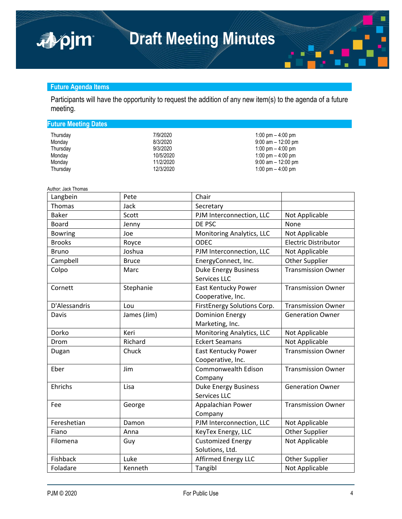# **Future Agenda Items**

apjm

Participants will have the opportunity to request the addition of any new item(s) to the agenda of a future meeting.

| <b>Future Meeting Dates</b> |           |                       |
|-----------------------------|-----------|-----------------------|
| Thursday                    | 7/9/2020  | 1:00 pm $-$ 4:00 pm   |
| Monday                      | 8/3/2020  | $9:00$ am $-12:00$ pm |
| Thursday                    | 9/3/2020  | 1:00 pm $-$ 4:00 pm   |
| Monday                      | 10/5/2020 | 1:00 pm $-$ 4:00 pm   |
| Monday                      | 11/2/2020 | $9:00$ am $-12:00$ pm |
| Thursday                    | 12/3/2020 | 1:00 pm $-$ 4:00 pm   |
|                             |           |                       |

Author: Jack Thomas

| Langbein       | Pete         | Chair                                              |                             |
|----------------|--------------|----------------------------------------------------|-----------------------------|
| Thomas         | Jack         | Secretary                                          |                             |
| <b>Baker</b>   | Scott        | PJM Interconnection, LLC                           | Not Applicable              |
| <b>Board</b>   | Jenny        | DE PSC                                             | None                        |
| <b>Bowring</b> | Joe          | Monitoring Analytics, LLC                          | Not Applicable              |
| <b>Brooks</b>  | Royce        | <b>ODEC</b>                                        | <b>Electric Distributor</b> |
| <b>Bruno</b>   | Joshua       | PJM Interconnection, LLC                           | Not Applicable              |
| Campbell       | <b>Bruce</b> | EnergyConnect, Inc.                                | Other Supplier              |
| Colpo          | Marc         | <b>Duke Energy Business</b><br><b>Services LLC</b> | <b>Transmission Owner</b>   |
| Cornett        | Stephanie    | East Kentucky Power<br>Cooperative, Inc.           | <b>Transmission Owner</b>   |
| D'Alessandris  | Lou          | FirstEnergy Solutions Corp.                        | <b>Transmission Owner</b>   |
| Davis          | James (Jim)  | <b>Dominion Energy</b><br>Marketing, Inc.          | <b>Generation Owner</b>     |
| Dorko          | Keri         | Monitoring Analytics, LLC                          | Not Applicable              |
| Drom           | Richard      | <b>Eckert Seamans</b>                              | Not Applicable              |
| Dugan          | Chuck        | <b>East Kentucky Power</b><br>Cooperative, Inc.    | <b>Transmission Owner</b>   |
| Eber           | Jim          | Commonwealth Edison<br>Company                     | <b>Transmission Owner</b>   |
| Ehrichs        | Lisa         | <b>Duke Energy Business</b><br>Services LLC        | <b>Generation Owner</b>     |
| Fee            | George       | Appalachian Power<br>Company                       | <b>Transmission Owner</b>   |
| Fereshetian    | Damon        | PJM Interconnection, LLC                           | Not Applicable              |
| Fiano          | Anna         | KeyTex Energy, LLC                                 | Other Supplier              |
| Filomena       | Guy          | <b>Customized Energy</b><br>Solutions, Ltd.        | Not Applicable              |
| Fishback       | Luke         | <b>Affirmed Energy LLC</b>                         | Other Supplier              |
| Foladare       | Kenneth      | Tangibl                                            | Not Applicable              |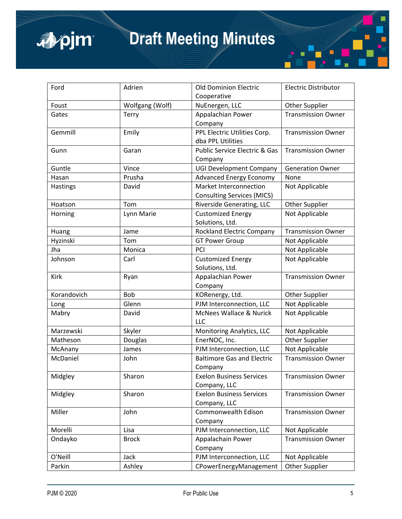

# **Draft Meeting Minutes**

| Ford        | Adrien          | <b>Old Dominion Electric</b>             | <b>Electric Distributor</b> |
|-------------|-----------------|------------------------------------------|-----------------------------|
|             |                 | Cooperative                              |                             |
| Foust       | Wolfgang (Wolf) | NuEnergen, LLC                           | Other Supplier              |
| Gates       | Terry           | Appalachian Power                        | <b>Transmission Owner</b>   |
|             |                 | Company                                  |                             |
| Gemmill     | Emily           | PPL Electric Utilities Corp.             | <b>Transmission Owner</b>   |
|             |                 | dba PPL Utilities                        |                             |
| Gunn        | Garan           | <b>Public Service Electric &amp; Gas</b> | <b>Transmission Owner</b>   |
|             |                 | Company                                  |                             |
| Guntle      | Vince           | <b>UGI Development Company</b>           | <b>Generation Owner</b>     |
| Hasan       | Prusha          | <b>Advanced Energy Economy</b>           | None                        |
| Hastings    | David           | Market Interconnection                   | Not Applicable              |
|             |                 | <b>Consulting Services (MICS)</b>        |                             |
| Hoatson     | Tom             | Riverside Generating, LLC                | Other Supplier              |
| Horning     | Lynn Marie      | <b>Customized Energy</b>                 | Not Applicable              |
|             |                 | Solutions, Ltd.                          |                             |
| Huang       | Jame            | <b>Rockland Electric Company</b>         | <b>Transmission Owner</b>   |
| Hyzinski    | Tom             | <b>GT Power Group</b>                    | Not Applicable              |
| Jha         | Monica          | PCI                                      | Not Applicable              |
| Johnson     | Carl            | <b>Customized Energy</b>                 | Not Applicable              |
|             |                 | Solutions, Ltd.                          |                             |
| Kirk        | Ryan            | Appalachian Power                        | <b>Transmission Owner</b>   |
|             |                 | Company                                  |                             |
| Korandovich | Bob             | KORenergy, Ltd.                          | Other Supplier              |
| Long        | Glenn           | PJM Interconnection, LLC                 | Not Applicable              |
| Mabry       | David           | <b>McNees Wallace &amp; Nurick</b>       | Not Applicable              |
|             |                 | LLC                                      |                             |
| Marzewski   | Skyler          | Monitoring Analytics, LLC                | Not Applicable              |
| Matheson    | Douglas         | EnerNOC, Inc.                            | Other Supplier              |
| McAnany     | James           | PJM Interconnection, LLC                 | Not Applicable              |
| McDaniel    | John            | <b>Baltimore Gas and Electric</b>        | <b>Transmission Owner</b>   |
|             |                 | Company                                  |                             |
| Midgley     | Sharon          | <b>Exelon Business Services</b>          | <b>Transmission Owner</b>   |
|             |                 | Company, LLC                             |                             |
| Midgley     | Sharon          | <b>Exelon Business Services</b>          | <b>Transmission Owner</b>   |
|             |                 | Company, LLC                             |                             |
| Miller      | John            | Commonwealth Edison                      | <b>Transmission Owner</b>   |
|             |                 | Company                                  |                             |
| Morelli     | Lisa            | PJM Interconnection, LLC                 | Not Applicable              |
| Ondayko     | <b>Brock</b>    | Appalachain Power                        | <b>Transmission Owner</b>   |
|             |                 | Company                                  |                             |
| O'Neill     | Jack            | PJM Interconnection, LLC                 | Not Applicable              |
| Parkin      | Ashley          | CPowerEnergyManagement                   | Other Supplier              |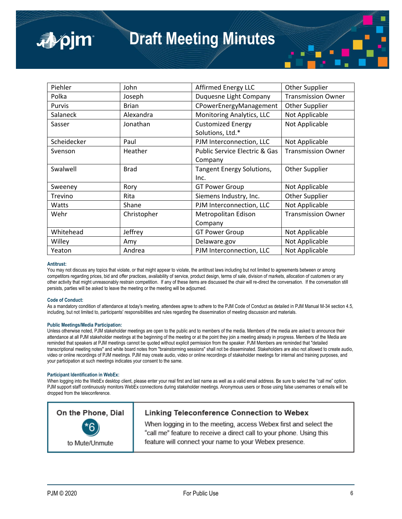| Piehler     | John         | Affirmed Energy LLC           | <b>Other Supplier</b>     |
|-------------|--------------|-------------------------------|---------------------------|
| Polka       | Joseph       | Duquesne Light Company        | <b>Transmission Owner</b> |
| Purvis      | <b>Brian</b> | CPowerEnergyManagement        | Other Supplier            |
| Salaneck    | Alexandra    | Monitoring Analytics, LLC     | Not Applicable            |
| Sasser      | Jonathan     | <b>Customized Energy</b>      | Not Applicable            |
|             |              | Solutions, Ltd.*              |                           |
| Scheidecker | Paul         | PJM Interconnection, LLC      | Not Applicable            |
| Svenson     | Heather      | Public Service Electric & Gas | <b>Transmission Owner</b> |
|             |              | Company                       |                           |
| Swalwell    | <b>Brad</b>  | Tangent Energy Solutions,     | Other Supplier            |
|             |              | Inc.                          |                           |
| Sweeney     | Rory         | <b>GT Power Group</b>         | Not Applicable            |
| Trevino     | Rita         | Siemens Industry, Inc.        | Other Supplier            |
| Watts       | Shane        | PJM Interconnection, LLC      | Not Applicable            |
| Wehr        | Christopher  | Metropolitan Edison           | <b>Transmission Owner</b> |
|             |              | Company                       |                           |
| Whitehead   | Jeffrey      | <b>GT Power Group</b>         | Not Applicable            |
| Willey      | Amy          | Delaware.gov                  | Not Applicable            |
| Yeaton      | Andrea       | PJM Interconnection, LLC      | Not Applicable            |

#### **Antitrust:**

■pjm

You may not discuss any topics that violate, or that might appear to violate, the antitrust laws including but not limited to agreements between or among competitors regarding prices, bid and offer practices, availability of service, product design, terms of sale, division of markets, allocation of customers or any other activity that might unreasonably restrain competition. If any of these items are discussed the chair will re-direct the conversation. If the conversation still persists, parties will be asked to leave the meeting or the meeting will be adjourned.

#### **Code of Conduct:**

As a mandatory condition of attendance at today's meeting, attendees agree to adhere to the PJM Code of Conduct as detailed in PJM Manual M-34 section 4.5, including, but not limited to, participants' responsibilities and rules regarding the dissemination of meeting discussion and materials.

#### **Public Meetings/Media Participation:**

Unless otherwise noted, PJM stakeholder meetings are open to the public and to members of the media. Members of the media are asked to announce their attendance at all PJM stakeholder meetings at the beginning of the meeting or at the point they join a meeting already in progress. Members of the Media are reminded that speakers at PJM meetings cannot be quoted without explicit permission from the speaker. PJM Members are reminded that "detailed transcriptional meeting notes" and white board notes from "brainstorming sessions" shall not be disseminated. Stakeholders are also not allowed to create audio, video or online recordings of PJM meetings. PJM may create audio, video or online recordings of stakeholder meetings for internal and training purposes, and your participation at such meetings indicates your consent to the same.

#### **Participant Identification in WebEx:**

When logging into the WebEx desktop client, please enter your real first and last name as well as a valid email address. Be sure to select the "call me" option. PJM support staff continuously monitors WebEx connections during stakeholder meetings. Anonymous users or those using false usernames or emails will be dropped from the teleconference.